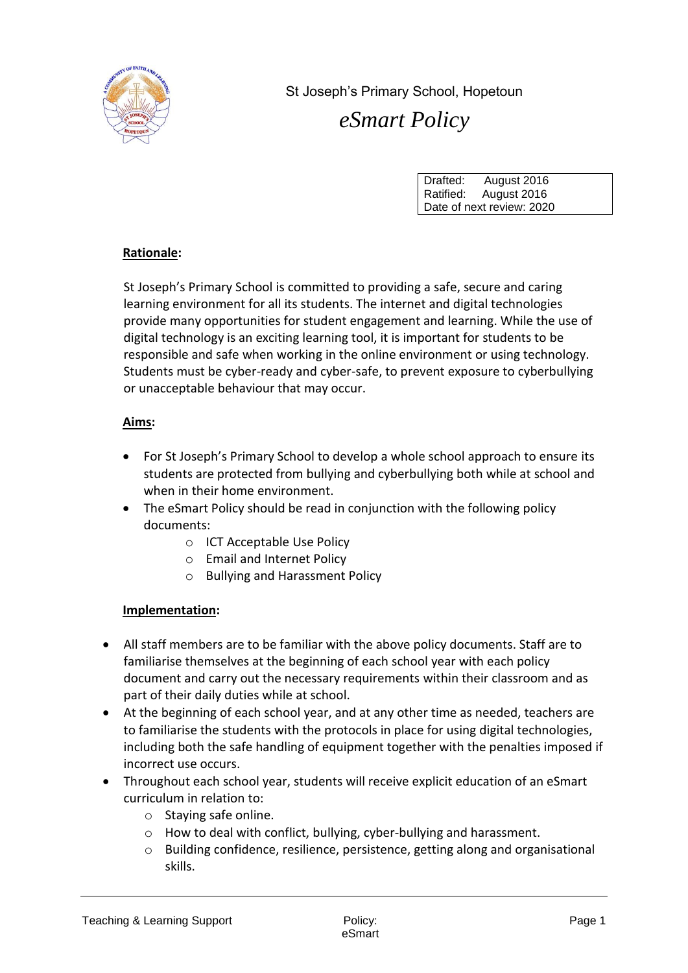

St Joseph's Primary School, Hopetoun *eSmart Policy*

| Drafted:                  | August 2016 |  |
|---------------------------|-------------|--|
| Ratified:                 | August 2016 |  |
| Date of next review: 2020 |             |  |

## **Rationale:**

St Joseph's Primary School is committed to providing a safe, secure and caring learning environment for all its students. The internet and digital technologies provide many opportunities for student engagement and learning. While the use of digital technology is an exciting learning tool, it is important for students to be responsible and safe when working in the online environment or using technology. Students must be cyber-ready and cyber-safe, to prevent exposure to cyberbullying or unacceptable behaviour that may occur.

## **Aims:**

- For St Joseph's Primary School to develop a whole school approach to ensure its students are protected from bullying and cyberbullying both while at school and when in their home environment.
- The eSmart Policy should be read in conjunction with the following policy documents:
	- o ICT Acceptable Use Policy
	- o Email and Internet Policy
	- o Bullying and Harassment Policy

## **Implementation:**

- All staff members are to be familiar with the above policy documents. Staff are to familiarise themselves at the beginning of each school year with each policy document and carry out the necessary requirements within their classroom and as part of their daily duties while at school.
- At the beginning of each school year, and at any other time as needed, teachers are to familiarise the students with the protocols in place for using digital technologies, including both the safe handling of equipment together with the penalties imposed if incorrect use occurs.
- Throughout each school year, students will receive explicit education of an eSmart curriculum in relation to:
	- o Staying safe online.
	- o How to deal with conflict, bullying, cyber-bullying and harassment.
	- $\circ$  Building confidence, resilience, persistence, getting along and organisational skills.